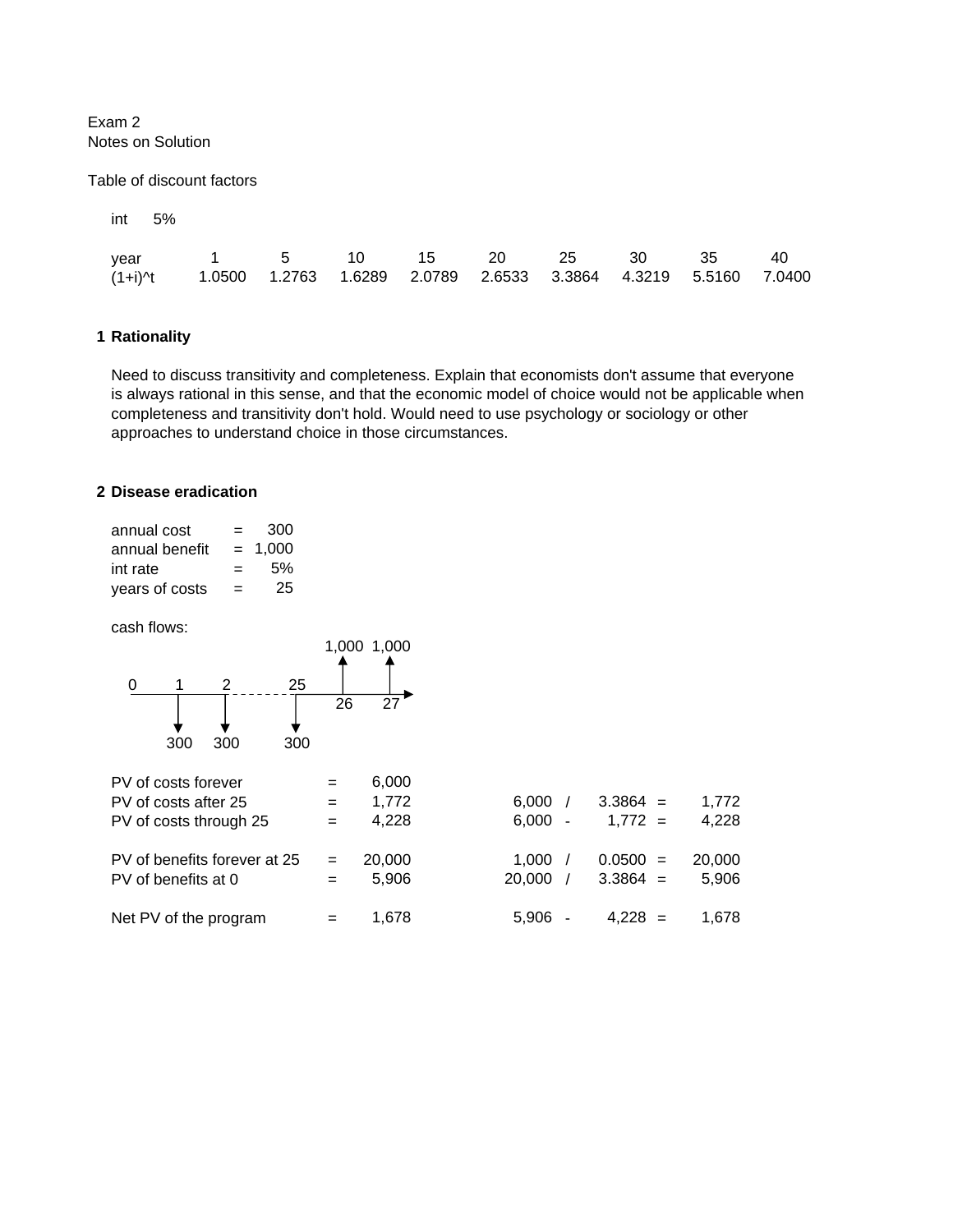Exam 2 Notes on Solution

Table of discount factors

| ınt | 5% |
|-----|----|
|     |    |

| year 1 5 10 15 20 25 30 35 40                                                   |  |  |  |  |  |
|---------------------------------------------------------------------------------|--|--|--|--|--|
| (1+i)^t  1.0500  1.2763  1.6289  2.0789  2.6533  3.3864  4.3219  5.5160  7.0400 |  |  |  |  |  |

### **1 Rationality**

Need to discuss transitivity and completeness. Explain that economists don't assume that everyone is always rational in this sense, and that the economic model of choice would not be applicable when completeness and transitivity don't hold. Would need to use psychology or sociology or other approaches to understand choice in those circumstances.

### **2 Disease eradication**

| annual cost    | $=$ | 300       |
|----------------|-----|-----------|
| annual benefit |     | $= 1.000$ |
| int rate       | $=$ | .5%       |
| years of costs | =   | 25        |

cash flows:

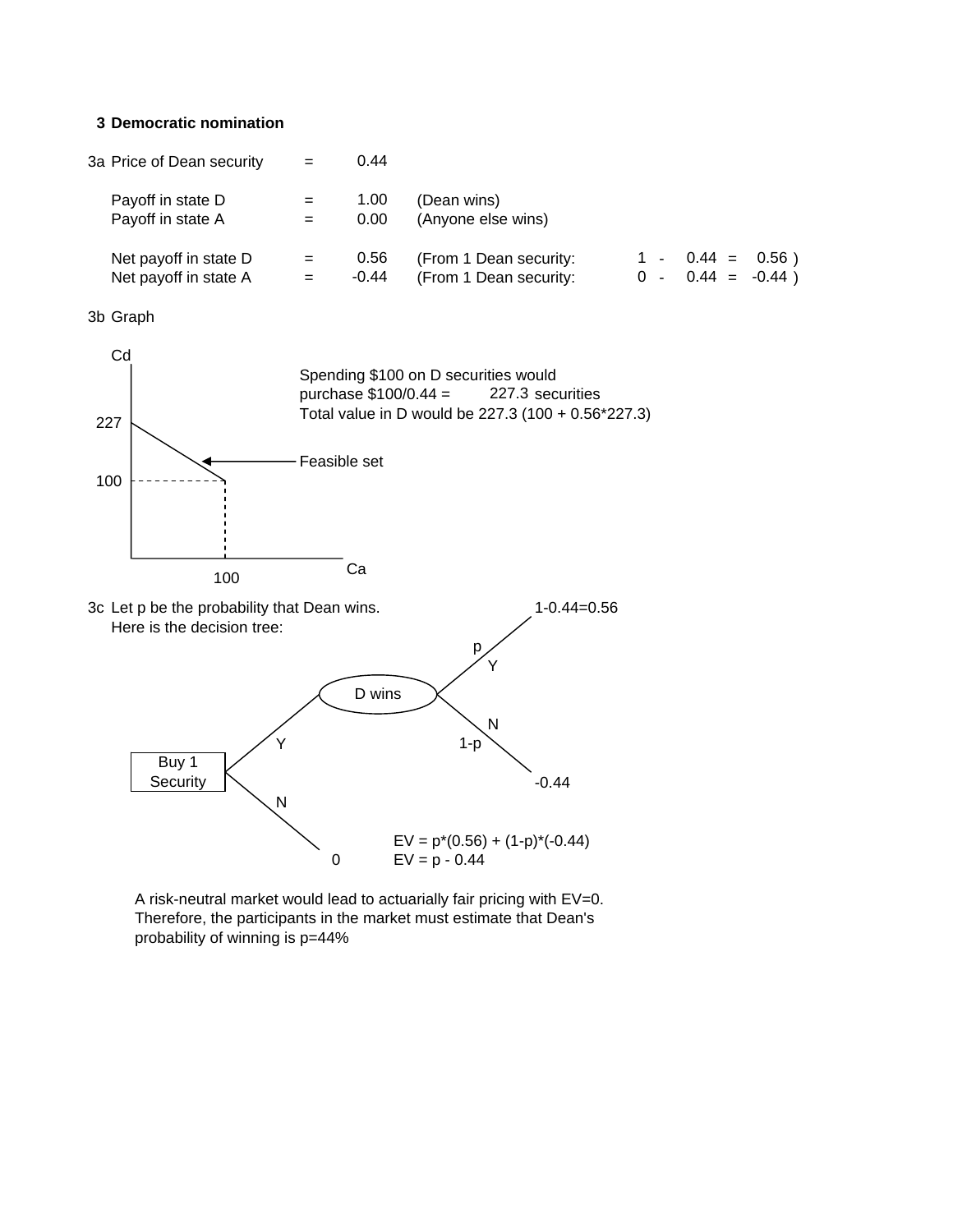#### **3 Democratic nomination**

| 3a Price of Dean security                      | $=$ | 0.44          |                                                  |  |                                           |  |
|------------------------------------------------|-----|---------------|--------------------------------------------------|--|-------------------------------------------|--|
| Payoff in state D<br>Payoff in state A         | $=$ | 1.00<br>0.00  | (Dean wins)<br>(Anyone else wins)                |  |                                           |  |
| Net payoff in state D<br>Net payoff in state A | $=$ | 0.56<br>-0.44 | (From 1 Dean security:<br>(From 1 Dean security: |  | $1 - 0.44 = 0.56$<br>$0 - 0.44 = -0.44$ ) |  |

3b Graph



A risk-neutral market would lead to actuarially fair pricing with EV=0. Therefore, the participants in the market must estimate that Dean's probability of winning is p=44%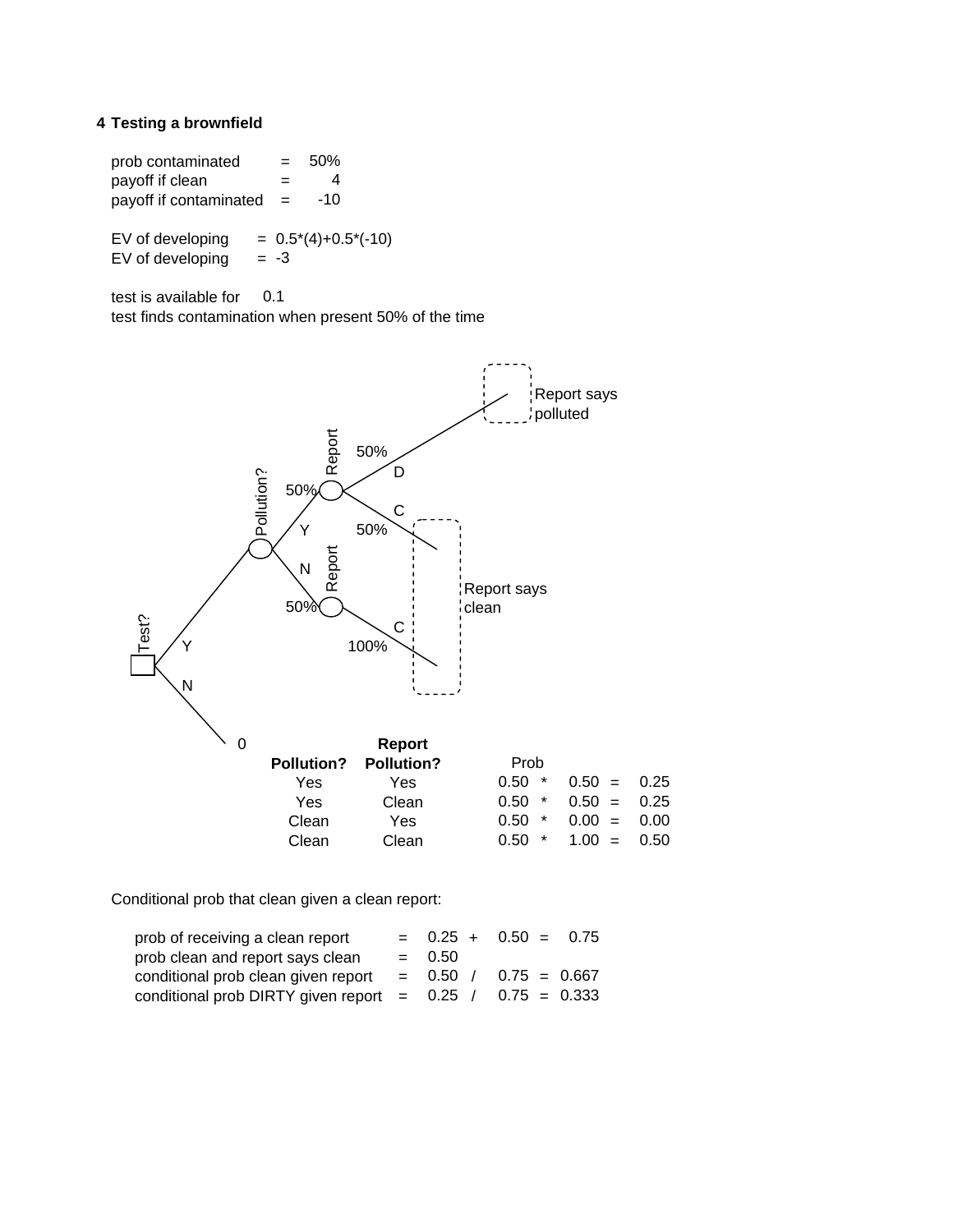## **4 Testing a brownfield**

 $prob$  contaminated  $=$ payoff if clean = payoff if contaminated  $=$ EV of developing  $= 0.5*(4)+0.5*(-10)$ EV of developing test is available for test finds contamination when present 50% of the time 0.1 50% 4 -10  $= -3$ 



Conditional prob that clean given a clean report:

| prob of receiving a clean report                            |          | $= 0.25 + 0.50 = 0.75$    |  |
|-------------------------------------------------------------|----------|---------------------------|--|
| prob clean and report says clean                            | $= 0.50$ |                           |  |
| conditional prob clean given report                         |          | $= 0.50$ / 0.75 $= 0.667$ |  |
| conditional prob DIRTY given report = $0.25 / 0.75 = 0.333$ |          |                           |  |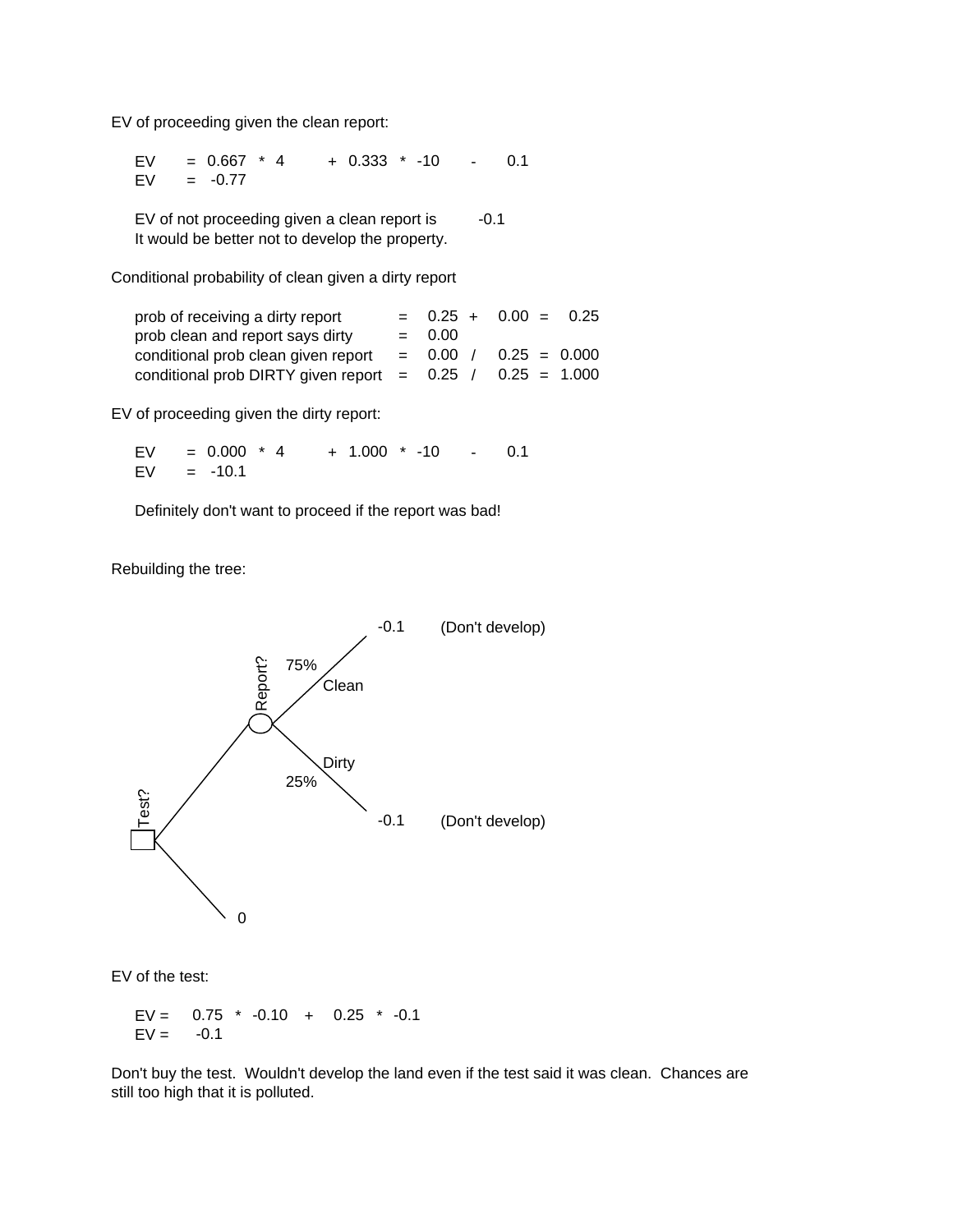EV of proceeding given the clean report:

EV =  $0.667$  \* 4 +  $0.333$  \* -10 - 0.1  $EV =$  $= 0.667$  \* 4 -0.77

EV of not proceeding given a clean report is It would be better not to develop the property. -0.1

Conditional probability of clean given a dirty report

| prob of receiving a dirty report                            |            | $= 0.25 + 0.00 = 0.25$ |  |
|-------------------------------------------------------------|------------|------------------------|--|
| prob clean and report says dirty                            | $= 0.00$   |                        |  |
| conditional prob clean given report                         | $= 0.00 /$ | $0.25 = 0.000$         |  |
| conditional prob DIRTY given report = $0.25 / 0.25 = 1.000$ |            |                        |  |

EV of proceeding given the dirty report:

 $EV = 0.000 * 4 + 1.000 * -10 - 0.1$  $EV$  $= -10.1$  $= 0.000 * 4$ 

Definitely don't want to proceed if the report was bad!

Rebuilding the tree:



EV of the test:

 $EV = 0.75 * -0.10 + 0.25 * -0.1$  $EV =$ -0.1

Don't buy the test. Wouldn't develop the land even if the test said it was clean. Chances are still too high that it is polluted.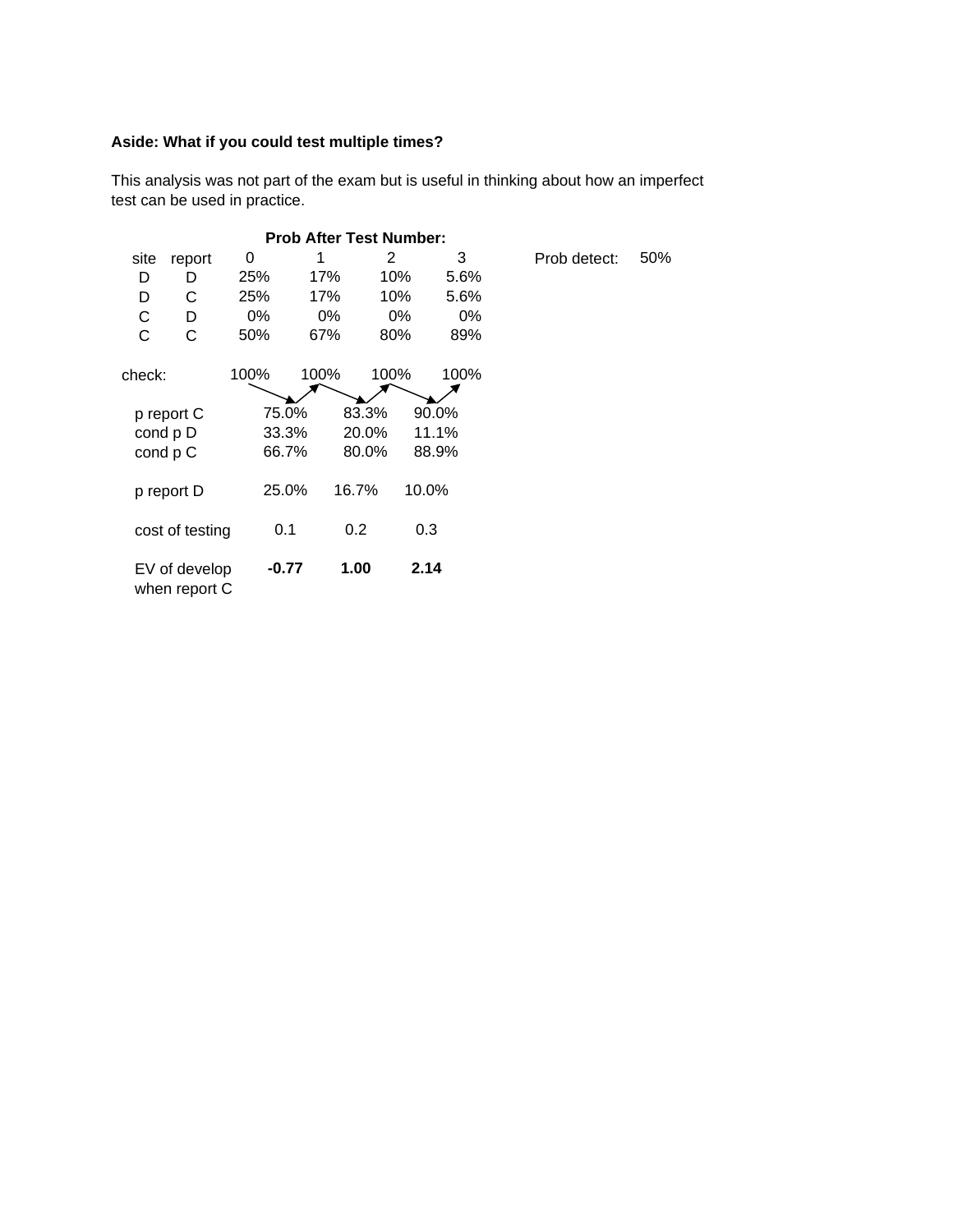# **Aside: What if you could test multiple times?**

This analysis was not part of the exam but is useful in thinking about how an imperfect test can be used in practice.

|                                |                 |         | <b>Prob After Test Number:</b> |       |       |       |              |     |
|--------------------------------|-----------------|---------|--------------------------------|-------|-------|-------|--------------|-----|
| site                           | report          | 0       |                                | 2     |       | 3     | Prob detect: | 50% |
| D                              | D               | 25%     | 17%                            | 10%   | 5.6%  |       |              |     |
| D                              | C               | 25%     | 17%                            | 10%   |       | 5.6%  |              |     |
| C                              | D               | $0\%$   | $0\%$                          | 0%    |       | $0\%$ |              |     |
| C                              | С               | 50%     | 67%                            | 80%   |       | 89%   |              |     |
| check:                         |                 | 100%    | 100%                           | 100%  |       | 100%  |              |     |
|                                | p report C      | 75.0%   |                                | 83.3% | 90.0% |       |              |     |
|                                | cond p D        | 33.3%   |                                | 20.0% | 11.1% |       |              |     |
|                                | cond p C        | 66.7%   |                                | 80.0% | 88.9% |       |              |     |
|                                | p report D      | 25.0%   |                                | 16.7% | 10.0% |       |              |     |
|                                | cost of testing | 0.1     |                                | 0.2   | 0.3   |       |              |     |
| EV of develop<br>when report C |                 | $-0.77$ |                                | 1.00  | 2.14  |       |              |     |